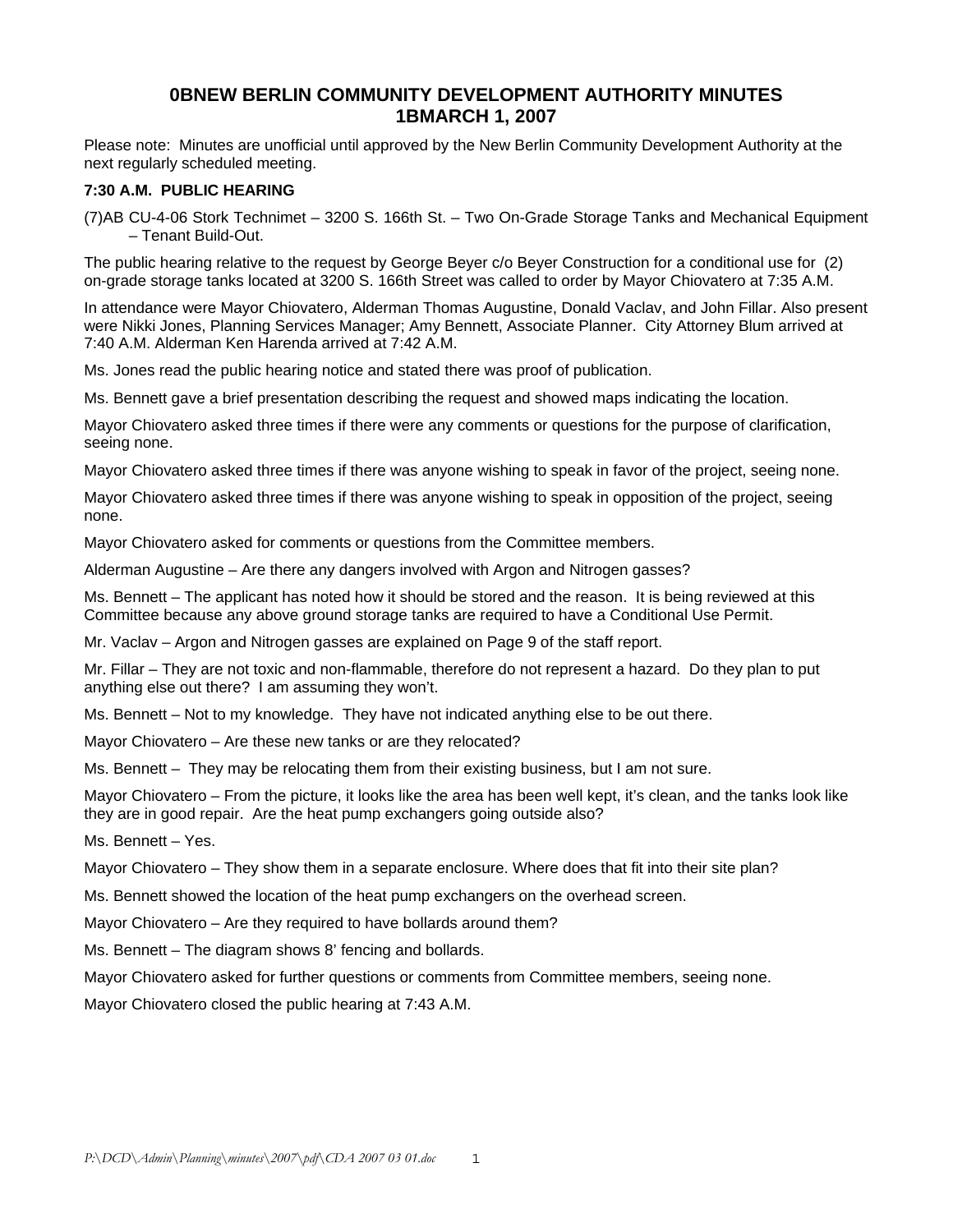### **0BNEW BERLIN COMMUNITY DEVELOPMENT AUTHORITY MINUTES 1BMARCH 1, 2007**

Please note: Minutes are unofficial until approved by the New Berlin Community Development Authority at the next regularly scheduled meeting.

### **7:30 A.M. PUBLIC HEARING**

(7)AB CU-4-06 Stork Technimet – 3200 S. 166th St. – Two On-Grade Storage Tanks and Mechanical Equipment – Tenant Build-Out.

The public hearing relative to the request by George Beyer c/o Beyer Construction for a conditional use for (2) on-grade storage tanks located at 3200 S. 166th Street was called to order by Mayor Chiovatero at 7:35 A.M.

In attendance were Mayor Chiovatero, Alderman Thomas Augustine, Donald Vaclav, and John Fillar. Also present were Nikki Jones, Planning Services Manager; Amy Bennett, Associate Planner. City Attorney Blum arrived at 7:40 A.M. Alderman Ken Harenda arrived at 7:42 A.M.

Ms. Jones read the public hearing notice and stated there was proof of publication.

Ms. Bennett gave a brief presentation describing the request and showed maps indicating the location.

Mayor Chiovatero asked three times if there were any comments or questions for the purpose of clarification, seeing none.

Mayor Chiovatero asked three times if there was anyone wishing to speak in favor of the project, seeing none.

Mayor Chiovatero asked three times if there was anyone wishing to speak in opposition of the project, seeing none.

Mayor Chiovatero asked for comments or questions from the Committee members.

Alderman Augustine – Are there any dangers involved with Argon and Nitrogen gasses?

Ms. Bennett – The applicant has noted how it should be stored and the reason. It is being reviewed at this Committee because any above ground storage tanks are required to have a Conditional Use Permit.

Mr. Vaclav – Argon and Nitrogen gasses are explained on Page 9 of the staff report.

Mr. Fillar – They are not toxic and non-flammable, therefore do not represent a hazard. Do they plan to put anything else out there? I am assuming they won't.

Ms. Bennett – Not to my knowledge. They have not indicated anything else to be out there.

Mayor Chiovatero – Are these new tanks or are they relocated?

Ms. Bennett – They may be relocating them from their existing business, but I am not sure.

Mayor Chiovatero – From the picture, it looks like the area has been well kept, it's clean, and the tanks look like they are in good repair. Are the heat pump exchangers going outside also?

Ms. Bennett – Yes.

Mayor Chiovatero – They show them in a separate enclosure. Where does that fit into their site plan?

Ms. Bennett showed the location of the heat pump exchangers on the overhead screen.

Mayor Chiovatero – Are they required to have bollards around them?

Ms. Bennett – The diagram shows 8' fencing and bollards.

Mayor Chiovatero asked for further questions or comments from Committee members, seeing none.

Mayor Chiovatero closed the public hearing at 7:43 A.M.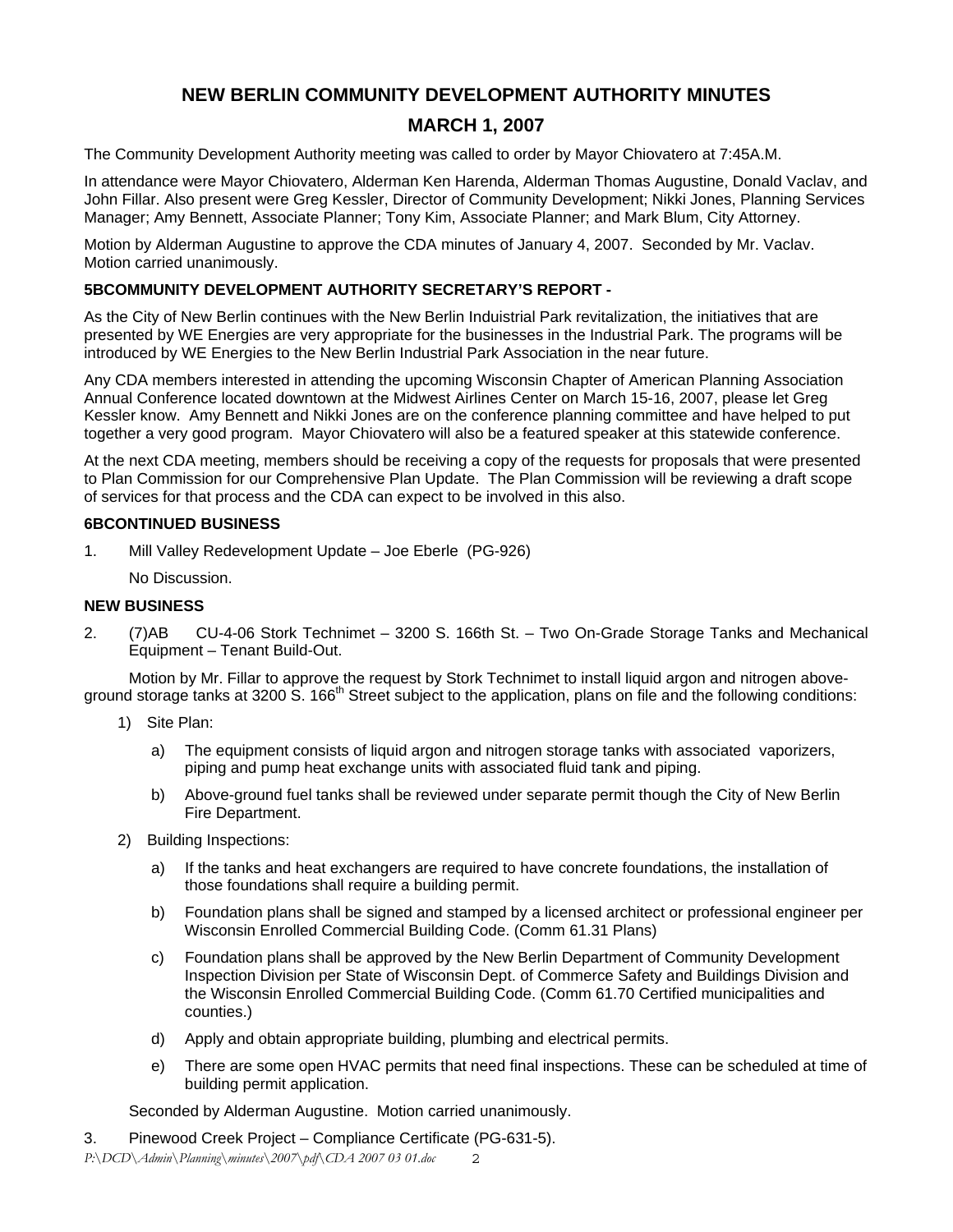## **NEW BERLIN COMMUNITY DEVELOPMENT AUTHORITY MINUTES**

# **MARCH 1, 2007**

The Community Development Authority meeting was called to order by Mayor Chiovatero at 7:45A.M.

In attendance were Mayor Chiovatero, Alderman Ken Harenda, Alderman Thomas Augustine, Donald Vaclav, and John Fillar. Also present were Greg Kessler, Director of Community Development; Nikki Jones, Planning Services Manager; Amy Bennett, Associate Planner; Tony Kim, Associate Planner; and Mark Blum, City Attorney.

Motion by Alderman Augustine to approve the CDA minutes of January 4, 2007. Seconded by Mr. Vaclav. Motion carried unanimously.

### **5BCOMMUNITY DEVELOPMENT AUTHORITY SECRETARY'S REPORT -**

As the City of New Berlin continues with the New Berlin Induistrial Park revitalization, the initiatives that are presented by WE Energies are very appropriate for the businesses in the Industrial Park. The programs will be introduced by WE Energies to the New Berlin Industrial Park Association in the near future.

Any CDA members interested in attending the upcoming Wisconsin Chapter of American Planning Association Annual Conference located downtown at the Midwest Airlines Center on March 15-16, 2007, please let Greg Kessler know. Amy Bennett and Nikki Jones are on the conference planning committee and have helped to put together a very good program. Mayor Chiovatero will also be a featured speaker at this statewide conference.

At the next CDA meeting, members should be receiving a copy of the requests for proposals that were presented to Plan Commission for our Comprehensive Plan Update. The Plan Commission will be reviewing a draft scope of services for that process and the CDA can expect to be involved in this also.

#### **6BCONTINUED BUSINESS**

1. Mill Valley Redevelopment Update – Joe Eberle (PG-926)

No Discussion.

### **NEW BUSINESS**

2. (7)AB CU-4-06 Stork Technimet – 3200 S. 166th St. – Two On-Grade Storage Tanks and Mechanical Equipment – Tenant Build-Out.

Motion by Mr. Fillar to approve the request by Stork Technimet to install liquid argon and nitrogen aboveground storage tanks at 3200 S. 166<sup>th</sup> Street subject to the application, plans on file and the following conditions:

- 1) Site Plan:
	- a) The equipment consists of liquid argon and nitrogen storage tanks with associated vaporizers, piping and pump heat exchange units with associated fluid tank and piping.
	- b) Above-ground fuel tanks shall be reviewed under separate permit though the City of New Berlin Fire Department.
- 2) Building Inspections:
	- a) If the tanks and heat exchangers are required to have concrete foundations, the installation of those foundations shall require a building permit.
	- b) Foundation plans shall be signed and stamped by a licensed architect or professional engineer per Wisconsin Enrolled Commercial Building Code. (Comm 61.31 Plans)
	- c) Foundation plans shall be approved by the New Berlin Department of Community Development Inspection Division per State of Wisconsin Dept. of Commerce Safety and Buildings Division and the Wisconsin Enrolled Commercial Building Code. (Comm 61.70 Certified municipalities and counties.)
	- d) Apply and obtain appropriate building, plumbing and electrical permits.
	- e) There are some open HVAC permits that need final inspections. These can be scheduled at time of building permit application.

Seconded by Alderman Augustine. Motion carried unanimously.

3. Pinewood Creek Project – Compliance Certificate (PG-631-5).